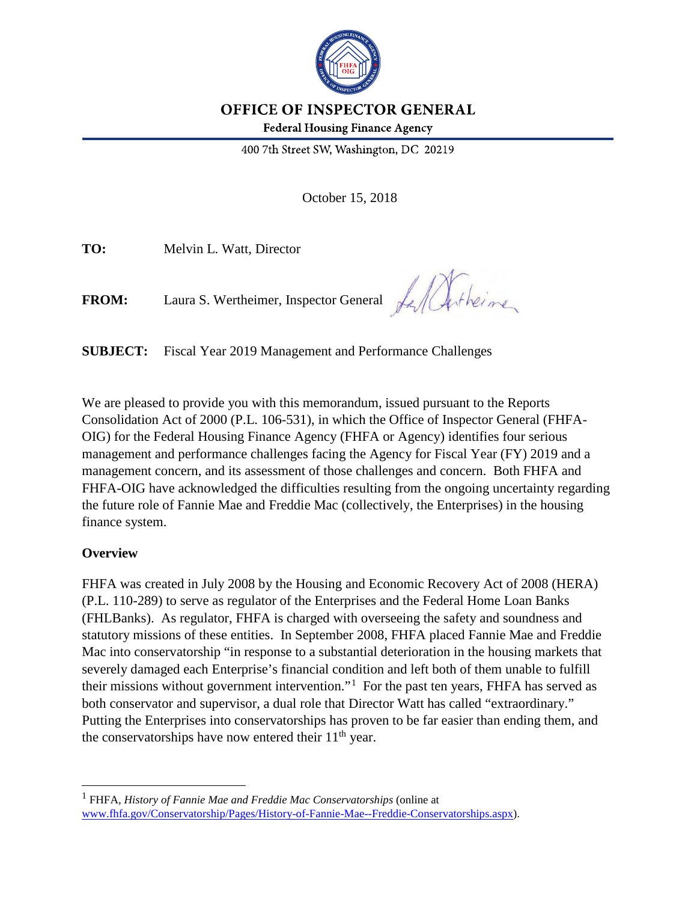

# OFFICE OF INSPECTOR GENERAL

**Federal Housing Finance Agency** 

400 7th Street SW, Washington, DC 20219

October 15, 2018

**TO:** Melvin L. Watt, Director

**FROM:** Laura S. Wertheimer, Inspector General

LA Artheime

**SUBJECT:** Fiscal Year 2019 Management and Performance Challenges

We are pleased to provide you with this memorandum, issued pursuant to the Reports Consolidation Act of 2000 (P.L. 106-531), in which the Office of Inspector General (FHFA-OIG) for the Federal Housing Finance Agency (FHFA or Agency) identifies four serious management and performance challenges facing the Agency for Fiscal Year (FY) 2019 and a management concern, and its assessment of those challenges and concern. Both FHFA and FHFA-OIG have acknowledged the difficulties resulting from the ongoing uncertainty regarding the future role of Fannie Mae and Freddie Mac (collectively, the Enterprises) in the housing finance system.

#### **Overview**

 $\overline{a}$ 

FHFA was created in July 2008 by the Housing and Economic Recovery Act of 2008 (HERA) (P.L. 110-289) to serve as regulator of the Enterprises and the Federal Home Loan Banks (FHLBanks). As regulator, FHFA is charged with overseeing the safety and soundness and statutory missions of these entities. In September 2008, FHFA placed Fannie Mae and Freddie Mac into conservatorship "in response to a substantial deterioration in the housing markets that severely damaged each Enterprise's financial condition and left both of them unable to fulfill their missions without government intervention."<sup>[1](#page-0-0)</sup> For the past ten years, FHFA has served as both conservator and supervisor, a dual role that Director Watt has called "extraordinary." Putting the Enterprises into conservatorships has proven to be far easier than ending them, and the conservatorships have now entered their  $11<sup>th</sup>$  year.

<span id="page-0-0"></span><sup>1</sup> FHFA, *History of Fannie Mae and Freddie Mac Conservatorships* (online at [www.fhfa.gov/Conservatorship/Pages/History-of-Fannie-Mae--Freddie-Conservatorships.aspx\)](http://www.fhfa.gov/Conservatorship/Pages/History-of-Fannie-Mae--Freddie-Conservatorships.aspx).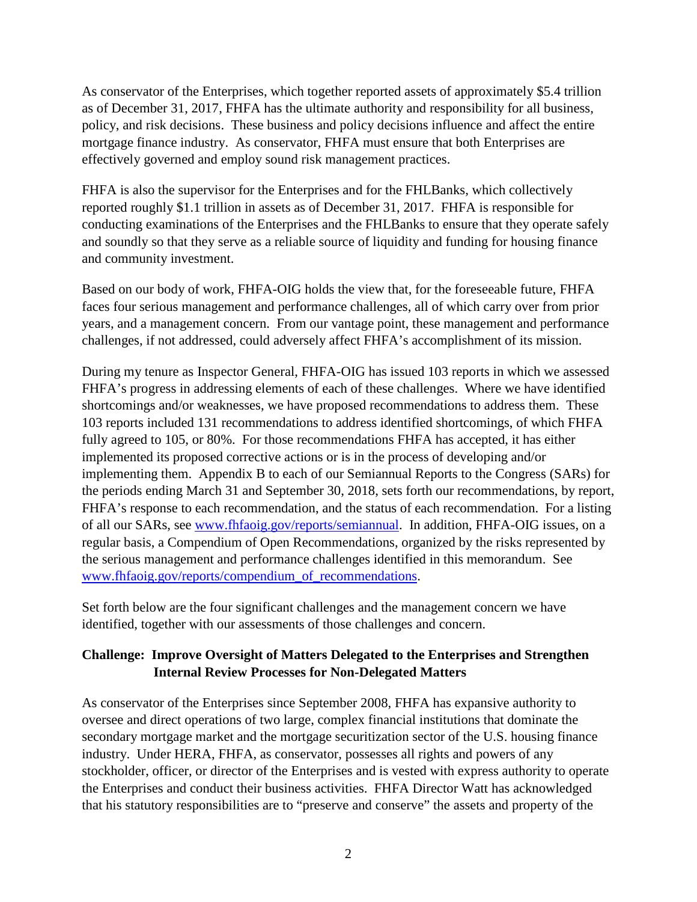As conservator of the Enterprises, which together reported assets of approximately \$5.4 trillion as of December 31, 2017, FHFA has the ultimate authority and responsibility for all business, policy, and risk decisions. These business and policy decisions influence and affect the entire mortgage finance industry. As conservator, FHFA must ensure that both Enterprises are effectively governed and employ sound risk management practices.

FHFA is also the supervisor for the Enterprises and for the FHLBanks, which collectively reported roughly \$1.1 trillion in assets as of December 31, 2017. FHFA is responsible for conducting examinations of the Enterprises and the FHLBanks to ensure that they operate safely and soundly so that they serve as a reliable source of liquidity and funding for housing finance and community investment.

Based on our body of work, FHFA-OIG holds the view that, for the foreseeable future, FHFA faces four serious management and performance challenges, all of which carry over from prior years, and a management concern. From our vantage point, these management and performance challenges, if not addressed, could adversely affect FHFA's accomplishment of its mission.

During my tenure as Inspector General, FHFA-OIG has issued 103 reports in which we assessed FHFA's progress in addressing elements of each of these challenges. Where we have identified shortcomings and/or weaknesses, we have proposed recommendations to address them. These 103 reports included 131 recommendations to address identified shortcomings, of which FHFA fully agreed to 105, or 80%. For those recommendations FHFA has accepted, it has either implemented its proposed corrective actions or is in the process of developing and/or implementing them. Appendix B to each of our Semiannual Reports to the Congress (SARs) for the periods ending March 31 and September 30, 2018, sets forth our recommendations, by report, FHFA's response to each recommendation, and the status of each recommendation. For a listing of all our SARs, see [www.fhfaoig.gov/reports/semiannual.](https://www.fhfaoig.gov/reports/semiannual) In addition, FHFA-OIG issues, on a regular basis, a Compendium of Open Recommendations, organized by the risks represented by the serious management and performance challenges identified in this memorandum. See [www.fhfaoig.gov/reports/compendium\\_of\\_recommendations.](https://www.fhfaoig.gov/reports/compendium_of_recommendations)

Set forth below are the four significant challenges and the management concern we have identified, together with our assessments of those challenges and concern.

#### **Challenge: Improve Oversight of Matters Delegated to the Enterprises and Strengthen Internal Review Processes for Non-Delegated Matters**

As conservator of the Enterprises since September 2008, FHFA has expansive authority to oversee and direct operations of two large, complex financial institutions that dominate the secondary mortgage market and the mortgage securitization sector of the U.S. housing finance industry. Under HERA, FHFA, as conservator, possesses all rights and powers of any stockholder, officer, or director of the Enterprises and is vested with express authority to operate the Enterprises and conduct their business activities. FHFA Director Watt has acknowledged that his statutory responsibilities are to "preserve and conserve" the assets and property of the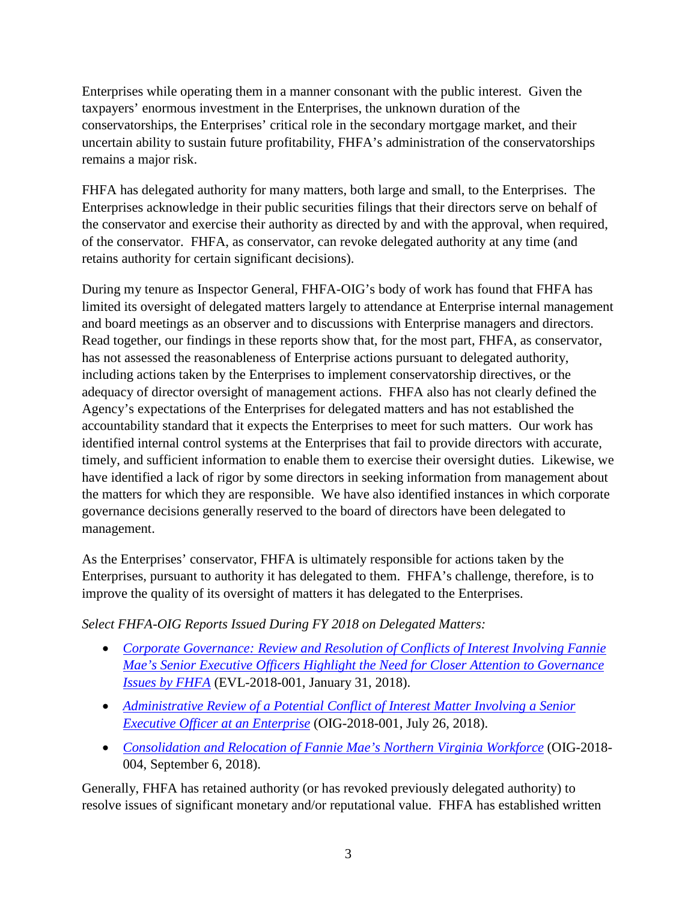Enterprises while operating them in a manner consonant with the public interest. Given the taxpayers' enormous investment in the Enterprises, the unknown duration of the conservatorships, the Enterprises' critical role in the secondary mortgage market, and their uncertain ability to sustain future profitability, FHFA's administration of the conservatorships remains a major risk.

FHFA has delegated authority for many matters, both large and small, to the Enterprises. The Enterprises acknowledge in their public securities filings that their directors serve on behalf of the conservator and exercise their authority as directed by and with the approval, when required, of the conservator. FHFA, as conservator, can revoke delegated authority at any time (and retains authority for certain significant decisions).

During my tenure as Inspector General, FHFA-OIG's body of work has found that FHFA has limited its oversight of delegated matters largely to attendance at Enterprise internal management and board meetings as an observer and to discussions with Enterprise managers and directors. Read together, our findings in these reports show that, for the most part, FHFA, as conservator, has not assessed the reasonableness of Enterprise actions pursuant to delegated authority, including actions taken by the Enterprises to implement conservatorship directives, or the adequacy of director oversight of management actions. FHFA also has not clearly defined the Agency's expectations of the Enterprises for delegated matters and has not established the accountability standard that it expects the Enterprises to meet for such matters. Our work has identified internal control systems at the Enterprises that fail to provide directors with accurate, timely, and sufficient information to enable them to exercise their oversight duties. Likewise, we have identified a lack of rigor by some directors in seeking information from management about the matters for which they are responsible. We have also identified instances in which corporate governance decisions generally reserved to the board of directors have been delegated to management.

As the Enterprises' conservator, FHFA is ultimately responsible for actions taken by the Enterprises, pursuant to authority it has delegated to them. FHFA's challenge, therefore, is to improve the quality of its oversight of matters it has delegated to the Enterprises.

*Select FHFA-OIG Reports Issued During FY 2018 on Delegated Matters:* 

- *[Corporate Governance: Review and Resolution of Conflicts of Interest Involving Fannie](https://www.fhfaoig.gov/Content/Files/EVL-2018-001%20%28Redacted%29.pdf)  [Mae's Senior Executive Officers Highlight the Need for Closer Attention to Governance](https://www.fhfaoig.gov/Content/Files/EVL-2018-001%20%28Redacted%29.pdf)  [Issues by FHFA](https://www.fhfaoig.gov/Content/Files/EVL-2018-001%20%28Redacted%29.pdf)* (EVL-2018-001, January 31, 2018).
- *[Administrative Review of a Potential Conflict of Interest Matter Involving a Senior](https://www.fhfaoig.gov/Content/Files/Management%20Alerts_OIG-2018-001_Redacted%20%28with%20Redaction%20Codes%29.pdf)  [Executive Officer at an Enterprise](https://www.fhfaoig.gov/Content/Files/Management%20Alerts_OIG-2018-001_Redacted%20%28with%20Redaction%20Codes%29.pdf)* (OIG-2018-001, July 26, 2018).
- *[Consolidation and Relocation of Fannie Mae's Northern Virginia Workforce](https://www.fhfaoig.gov/Content/Files/Management%20Alert%20OIG-2018-004.pdf)* (OIG-2018- 004, September 6, 2018).

Generally, FHFA has retained authority (or has revoked previously delegated authority) to resolve issues of significant monetary and/or reputational value. FHFA has established written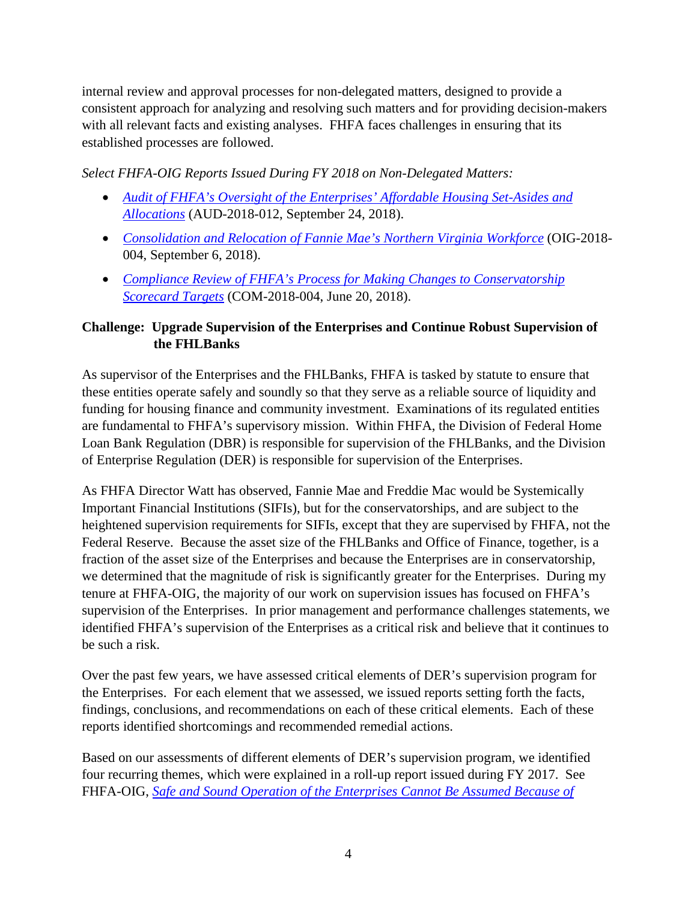internal review and approval processes for non-delegated matters, designed to provide a consistent approach for analyzing and resolving such matters and for providing decision-makers with all relevant facts and existing analyses. FHFA faces challenges in ensuring that its established processes are followed.

*Select FHFA-OIG Reports Issued During FY 2018 on Non-Delegated Matters:* 

- *[Audit of FHFA's Oversight of the Enterprises' Affordable Housing Set-Asides and](https://www.fhfaoig.gov/Content/Files/AUD-2018-012%20FHFA%20Oversight%20of%20Affordable%20Housing.pdf)  [Allocations](https://www.fhfaoig.gov/Content/Files/AUD-2018-012%20FHFA%20Oversight%20of%20Affordable%20Housing.pdf)* (AUD-2018-012, September 24, 2018).
- *[Consolidation and Relocation of Fannie Mae's Northern Virginia Workforce](https://www.fhfaoig.gov/Content/Files/Management%20Alert%20OIG-2018-004.pdf)* (OIG-2018- 004, September 6, 2018).
- *[Compliance Review of FHFA's Process for Making Changes to Conservatorship](https://www.fhfaoig.gov/Content/Files/Conservatorship%20Scorecard%20%28COM-2018-004%29.pdf)  [Scorecard Targets](https://www.fhfaoig.gov/Content/Files/Conservatorship%20Scorecard%20%28COM-2018-004%29.pdf)* (COM-2018-004, June 20, 2018).

## **Challenge: Upgrade Supervision of the Enterprises and Continue Robust Supervision of the FHLBanks**

As supervisor of the Enterprises and the FHLBanks, FHFA is tasked by statute to ensure that these entities operate safely and soundly so that they serve as a reliable source of liquidity and funding for housing finance and community investment. Examinations of its regulated entities are fundamental to FHFA's supervisory mission. Within FHFA, the Division of Federal Home Loan Bank Regulation (DBR) is responsible for supervision of the FHLBanks, and the Division of Enterprise Regulation (DER) is responsible for supervision of the Enterprises.

As FHFA Director Watt has observed, Fannie Mae and Freddie Mac would be Systemically Important Financial Institutions (SIFIs), but for the conservatorships, and are subject to the heightened supervision requirements for SIFIs, except that they are supervised by FHFA, not the Federal Reserve. Because the asset size of the FHLBanks and Office of Finance, together, is a fraction of the asset size of the Enterprises and because the Enterprises are in conservatorship, we determined that the magnitude of risk is significantly greater for the Enterprises. During my tenure at FHFA-OIG, the majority of our work on supervision issues has focused on FHFA's supervision of the Enterprises. In prior management and performance challenges statements, we identified FHFA's supervision of the Enterprises as a critical risk and believe that it continues to be such a risk.

Over the past few years, we have assessed critical elements of DER's supervision program for the Enterprises. For each element that we assessed, we issued reports setting forth the facts, findings, conclusions, and recommendations on each of these critical elements. Each of these reports identified shortcomings and recommended remedial actions.

Based on our assessments of different elements of DER's supervision program, we identified four recurring themes, which were explained in a roll-up report issued during FY 2017. See FHFA-OIG, *[Safe and Sound Operation of the Enterprises Cannot Be Assumed Because of](https://www.fhfaoig.gov/Content/Files/OIG-2017-003.pdf)*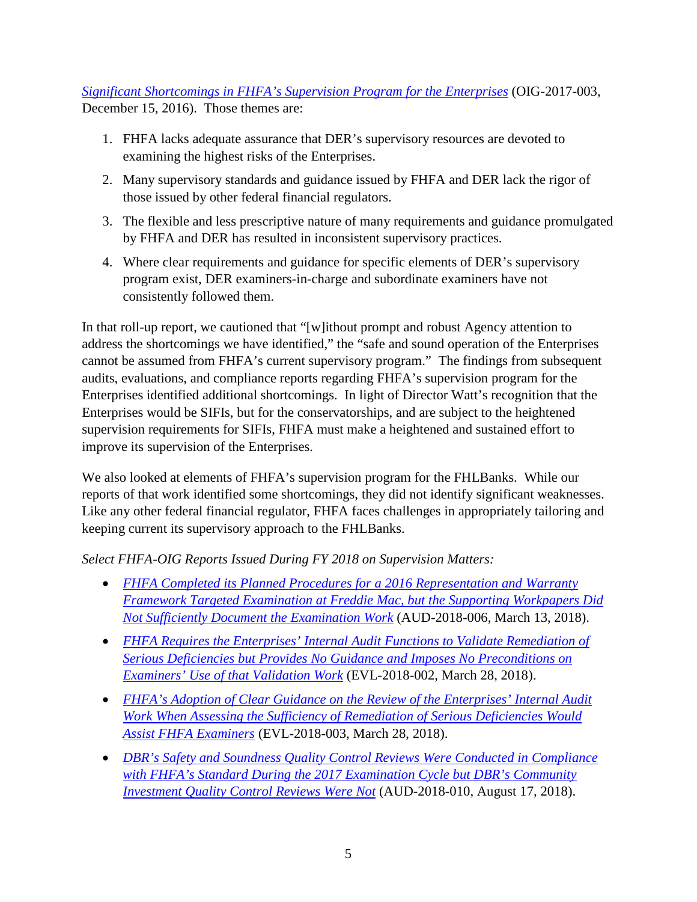*[Significant Shortcomings in FHFA's Supervision Program for the Enterprises](https://www.fhfaoig.gov/Content/Files/OIG-2017-003.pdf)* (OIG-2017-003, December 15, 2016). Those themes are:

- 1. FHFA lacks adequate assurance that DER's supervisory resources are devoted to examining the highest risks of the Enterprises.
- 2. Many supervisory standards and guidance issued by FHFA and DER lack the rigor of those issued by other federal financial regulators.
- 3. The flexible and less prescriptive nature of many requirements and guidance promulgated by FHFA and DER has resulted in inconsistent supervisory practices.
- 4. Where clear requirements and guidance for specific elements of DER's supervisory program exist, DER examiners-in-charge and subordinate examiners have not consistently followed them.

In that roll-up report, we cautioned that "[w]ithout prompt and robust Agency attention to address the shortcomings we have identified," the "safe and sound operation of the Enterprises cannot be assumed from FHFA's current supervisory program." The findings from subsequent audits, evaluations, and compliance reports regarding FHFA's supervision program for the Enterprises identified additional shortcomings. In light of Director Watt's recognition that the Enterprises would be SIFIs, but for the conservatorships, and are subject to the heightened supervision requirements for SIFIs, FHFA must make a heightened and sustained effort to improve its supervision of the Enterprises.

We also looked at elements of FHFA's supervision program for the FHLBanks. While our reports of that work identified some shortcomings, they did not identify significant weaknesses. Like any other federal financial regulator, FHFA faces challenges in appropriately tailoring and keeping current its supervisory approach to the FHLBanks.

## *Select FHFA-OIG Reports Issued During FY 2018 on Supervision Matters:*

- *[FHFA Completed its Planned Procedures for a 2016 Representation and Warranty](https://www.fhfaoig.gov/Content/Files/AUD-2018-006%20FRE%20RWF%202016%20Targeted%20Examination%20%28public%29_Redacted.pdf)  [Framework Targeted Examination at Freddie Mac, but the Supporting Workpapers Did](https://www.fhfaoig.gov/Content/Files/AUD-2018-006%20FRE%20RWF%202016%20Targeted%20Examination%20%28public%29_Redacted.pdf)  [Not Sufficiently Document the Examination Work](https://www.fhfaoig.gov/Content/Files/AUD-2018-006%20FRE%20RWF%202016%20Targeted%20Examination%20%28public%29_Redacted.pdf)* (AUD-2018-006, March 13, 2018).
- *[FHFA Requires the Enterprises' Internal Audit Functions to Validate Remediation of](https://www.fhfaoig.gov/Content/Files/EVL-2018-002_Redacted.pdf)  [Serious Deficiencies but Provides No Guidance and Imposes No Preconditions on](https://www.fhfaoig.gov/Content/Files/EVL-2018-002_Redacted.pdf)  [Examiners' Use of that Validation Work](https://www.fhfaoig.gov/Content/Files/EVL-2018-002_Redacted.pdf)* (EVL-2018-002, March 28, 2018).
- *[FHFA's Adoption of Clear Guidance on the Review of the Enterprises' Internal Audit](https://www.fhfaoig.gov/Content/Files/EVL-2018-003.pdf)  [Work When Assessing the Sufficiency of Remediation of Serious Deficiencies Would](https://www.fhfaoig.gov/Content/Files/EVL-2018-003.pdf)  [Assist FHFA Examiners](https://www.fhfaoig.gov/Content/Files/EVL-2018-003.pdf)* (EVL-2018-003, March 28, 2018).
- *[DBR's Safety and Soundness Quality Control Reviews Were Conducted in Compliance](https://www.fhfaoig.gov/Content/Files/AUD-2018-010%20DBR%20Quality%20Control%20Reviews%20During%20the%202017%20Examination%20Cycle.pdf)  [with FHFA's Standard During the 2017 Examination Cycle but DBR's Community](https://www.fhfaoig.gov/Content/Files/AUD-2018-010%20DBR%20Quality%20Control%20Reviews%20During%20the%202017%20Examination%20Cycle.pdf)  [Investment Quality Control Reviews Were Not](https://www.fhfaoig.gov/Content/Files/AUD-2018-010%20DBR%20Quality%20Control%20Reviews%20During%20the%202017%20Examination%20Cycle.pdf)* (AUD-2018-010, August 17, 2018).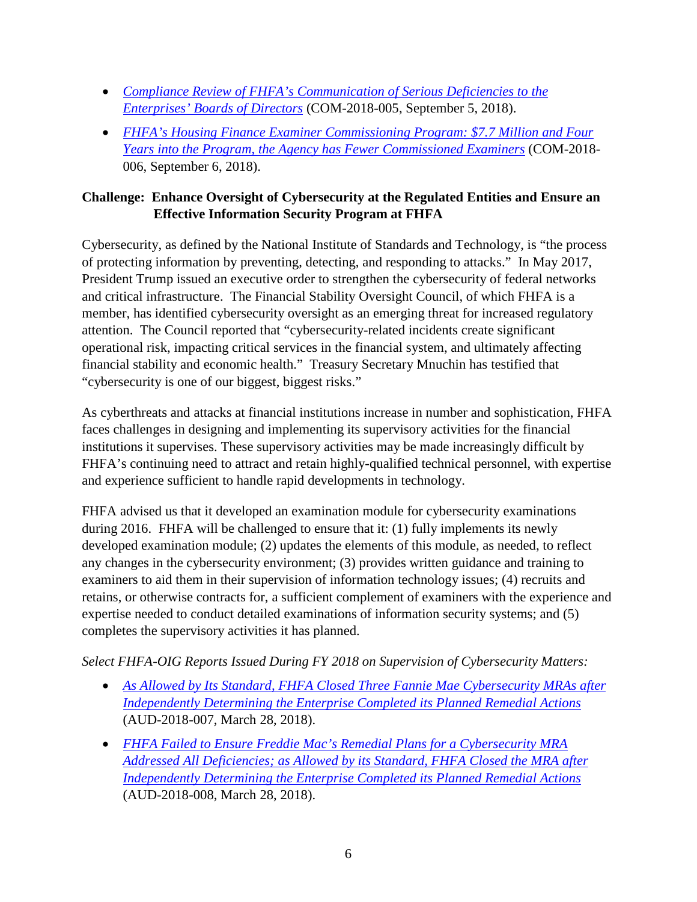- *[Compliance Review of FHFA's Communication of Serious Deficiencies to the](https://www.fhfaoig.gov/Content/Files/Compliance%20Review%20of%20FHFAs%20Communication%20of%20Serious%20Deficiencies.pdf)  [Enterprises' Boards of Directors](https://www.fhfaoig.gov/Content/Files/Compliance%20Review%20of%20FHFAs%20Communication%20of%20Serious%20Deficiencies.pdf)* (COM-2018-005, September 5, 2018).
- *[FHFA's Housing Finance Examiner Commissioning Program: \\$7.7 Million and Four](https://www.fhfaoig.gov/Content/Files/Compliance%20Review%20COM-2018-006.pdf)  [Years into the Program, the Agency has Fewer Commissioned Examiners](https://www.fhfaoig.gov/Content/Files/Compliance%20Review%20COM-2018-006.pdf)* (COM-2018- 006, September 6, 2018).

#### **Challenge: Enhance Oversight of Cybersecurity at the Regulated Entities and Ensure an Effective Information Security Program at FHFA**

Cybersecurity, as defined by the National Institute of Standards and Technology, is "the process of protecting information by preventing, detecting, and responding to attacks." In May 2017, President Trump issued an executive order to strengthen the cybersecurity of federal networks and critical infrastructure. The Financial Stability Oversight Council, of which FHFA is a member, has identified cybersecurity oversight as an emerging threat for increased regulatory attention. The Council reported that "cybersecurity-related incidents create significant operational risk, impacting critical services in the financial system, and ultimately affecting financial stability and economic health." Treasury Secretary Mnuchin has testified that "cybersecurity is one of our biggest, biggest risks."

As cyberthreats and attacks at financial institutions increase in number and sophistication, FHFA faces challenges in designing and implementing its supervisory activities for the financial institutions it supervises. These supervisory activities may be made increasingly difficult by FHFA's continuing need to attract and retain highly-qualified technical personnel, with expertise and experience sufficient to handle rapid developments in technology.

FHFA advised us that it developed an examination module for cybersecurity examinations during 2016. FHFA will be challenged to ensure that it: (1) fully implements its newly developed examination module; (2) updates the elements of this module, as needed, to reflect any changes in the cybersecurity environment; (3) provides written guidance and training to examiners to aid them in their supervision of information technology issues; (4) recruits and retains, or otherwise contracts for, a sufficient complement of examiners with the experience and expertise needed to conduct detailed examinations of information security systems; and (5) completes the supervisory activities it has planned.

*Select FHFA-OIG Reports Issued During FY 2018 on Supervision of Cybersecurity Matters:* 

- *[As Allowed by Its Standard, FHFA Closed Three Fannie Mae Cybersecurity MRAs after](https://www.fhfaoig.gov/Content/Files/AUD-2018-007%20FNM%20Cyber%20MRAs%20%28public%29%20Redacted.pdf)  [Independently Determining the Enterprise Completed its Planned Remedial Actions](https://www.fhfaoig.gov/Content/Files/AUD-2018-007%20FNM%20Cyber%20MRAs%20%28public%29%20Redacted.pdf)* (AUD-2018-007, March 28, 2018).
- *[FHFA Failed to Ensure Freddie Mac's Remedial Plans for a Cybersecurity MRA](https://www.fhfaoig.gov/Content/Files/AUD-2018-008%20FRE%20Cyber%20MRA%20Closure%20%28public%29%20Redacted.pdf)  [Addressed All Deficiencies; as Allowed by its Standard, FHFA Closed the MRA after](https://www.fhfaoig.gov/Content/Files/AUD-2018-008%20FRE%20Cyber%20MRA%20Closure%20%28public%29%20Redacted.pdf)  [Independently Determining the Enterprise Completed its Planned Remedial Actions](https://www.fhfaoig.gov/Content/Files/AUD-2018-008%20FRE%20Cyber%20MRA%20Closure%20%28public%29%20Redacted.pdf)* (AUD-2018-008, March 28, 2018).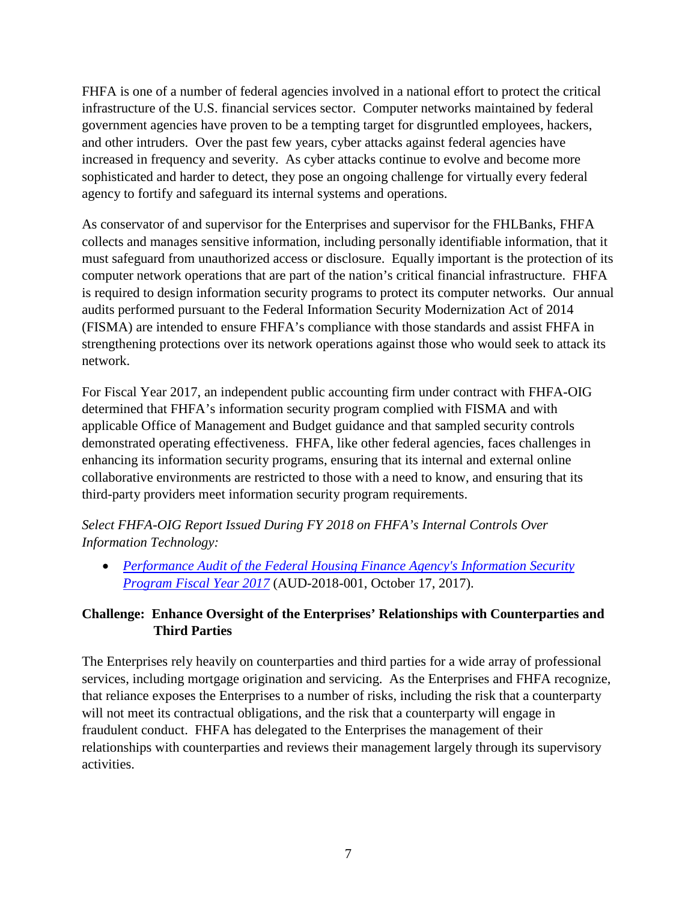FHFA is one of a number of federal agencies involved in a national effort to protect the critical infrastructure of the U.S. financial services sector. Computer networks maintained by federal government agencies have proven to be a tempting target for disgruntled employees, hackers, and other intruders. Over the past few years, cyber attacks against federal agencies have increased in frequency and severity. As cyber attacks continue to evolve and become more sophisticated and harder to detect, they pose an ongoing challenge for virtually every federal agency to fortify and safeguard its internal systems and operations.

As conservator of and supervisor for the Enterprises and supervisor for the FHLBanks, FHFA collects and manages sensitive information, including personally identifiable information, that it must safeguard from unauthorized access or disclosure. Equally important is the protection of its computer network operations that are part of the nation's critical financial infrastructure. FHFA is required to design information security programs to protect its computer networks. Our annual audits performed pursuant to the Federal Information Security Modernization Act of 2014 (FISMA) are intended to ensure FHFA's compliance with those standards and assist FHFA in strengthening protections over its network operations against those who would seek to attack its network.

For Fiscal Year 2017, an independent public accounting firm under contract with FHFA-OIG determined that FHFA's information security program complied with FISMA and with applicable Office of Management and Budget guidance and that sampled security controls demonstrated operating effectiveness. FHFA, like other federal agencies, faces challenges in enhancing its information security programs, ensuring that its internal and external online collaborative environments are restricted to those with a need to know, and ensuring that its third-party providers meet information security program requirements.

*Select FHFA-OIG Report Issued During FY 2018 on FHFA's Internal Controls Over Information Technology:* 

• *[Performance Audit of the Federal Housing Finance Agency's Information Security](https://www.fhfaoig.gov/Content/Files/AUD-2018-001%20Performance%20Audit%20of%20FHFA%20Information%20Security%20Program%20%28FISMA%29%20FY%202017%20%28public%29.pdf)  [Program Fiscal Year 2017](https://www.fhfaoig.gov/Content/Files/AUD-2018-001%20Performance%20Audit%20of%20FHFA%20Information%20Security%20Program%20%28FISMA%29%20FY%202017%20%28public%29.pdf)* (AUD-2018-001, October 17, 2017).

## **Challenge: Enhance Oversight of the Enterprises' Relationships with Counterparties and Third Parties**

The Enterprises rely heavily on counterparties and third parties for a wide array of professional services, including mortgage origination and servicing. As the Enterprises and FHFA recognize, that reliance exposes the Enterprises to a number of risks, including the risk that a counterparty will not meet its contractual obligations, and the risk that a counterparty will engage in fraudulent conduct. FHFA has delegated to the Enterprises the management of their relationships with counterparties and reviews their management largely through its supervisory activities.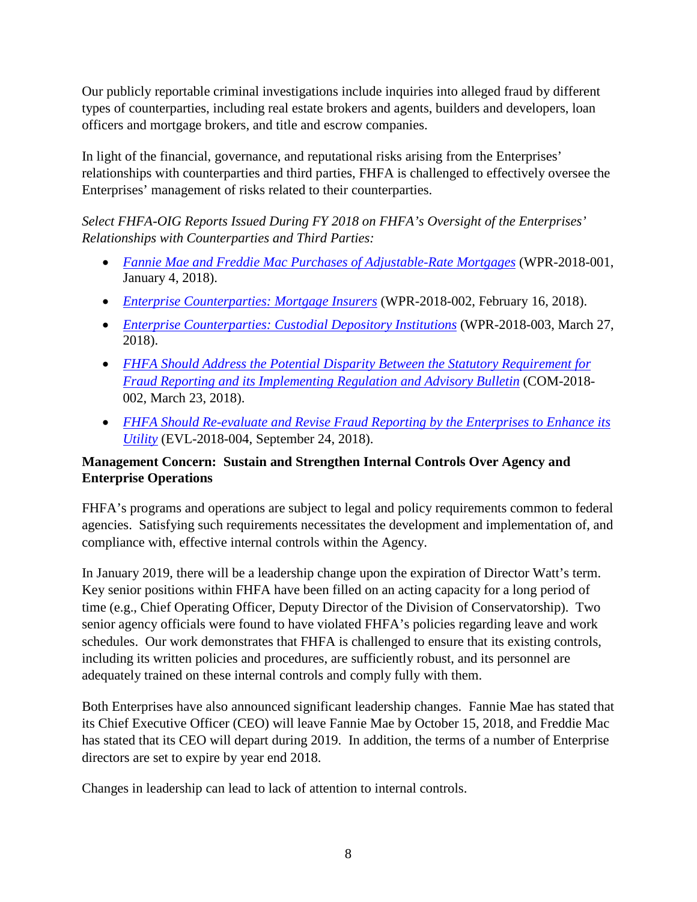Our publicly reportable criminal investigations include inquiries into alleged fraud by different types of counterparties, including real estate brokers and agents, builders and developers, loan officers and mortgage brokers, and title and escrow companies.

In light of the financial, governance, and reputational risks arising from the Enterprises' relationships with counterparties and third parties, FHFA is challenged to effectively oversee the Enterprises' management of risks related to their counterparties.

*Select FHFA-OIG Reports Issued During FY 2018 on FHFA's Oversight of the Enterprises' Relationships with Counterparties and Third Parties:* 

- *[Fannie Mae and Freddie Mac Purchases of Adjustable-Rate Mortgages](https://www.fhfaoig.gov/Content/Files/WPR-2018-001.pdf)* (WPR-2018-001, January 4, 2018).
- *[Enterprise Counterparties: Mortgage Insurers](https://www.fhfaoig.gov/Content/Files/WPR-2018-002.pdf)* (WPR-2018-002, February 16, 2018).
- *[Enterprise Counterparties: Custodial Depository Institutions](https://www.fhfaoig.gov/Content/Files/WPR-2018-003.pdf)* (WPR-2018-003, March 27, 2018).
- *[FHFA Should Address the Potential Disparity Between the Statutory Requirement for](https://www.fhfaoig.gov/Content/Files/2018_03_23%20Enterprise%20Fraud%20Reporting.FINAL_.pdf)  [Fraud Reporting and its Implementing Regulation and Advisory Bulletin](https://www.fhfaoig.gov/Content/Files/2018_03_23%20Enterprise%20Fraud%20Reporting.FINAL_.pdf)* (COM-2018- 002, March 23, 2018).
- *[FHFA Should Re-evaluate and Revise Fraud Reporting by the Enterprises to Enhance its](https://www.fhfaoig.gov/Content/Files/EVL-2018-004.pdf)  [Utility](https://www.fhfaoig.gov/Content/Files/EVL-2018-004.pdf)* (EVL-2018-004, September 24, 2018).

#### **Management Concern: Sustain and Strengthen Internal Controls Over Agency and Enterprise Operations**

FHFA's programs and operations are subject to legal and policy requirements common to federal agencies. Satisfying such requirements necessitates the development and implementation of, and compliance with, effective internal controls within the Agency.

In January 2019, there will be a leadership change upon the expiration of Director Watt's term. Key senior positions within FHFA have been filled on an acting capacity for a long period of time (e.g., Chief Operating Officer, Deputy Director of the Division of Conservatorship). Two senior agency officials were found to have violated FHFA's policies regarding leave and work schedules. Our work demonstrates that FHFA is challenged to ensure that its existing controls, including its written policies and procedures, are sufficiently robust, and its personnel are adequately trained on these internal controls and comply fully with them.

Both Enterprises have also announced significant leadership changes. Fannie Mae has stated that its Chief Executive Officer (CEO) will leave Fannie Mae by October 15, 2018, and Freddie Mac has stated that its CEO will depart during 2019. In addition, the terms of a number of Enterprise directors are set to expire by year end 2018.

Changes in leadership can lead to lack of attention to internal controls.